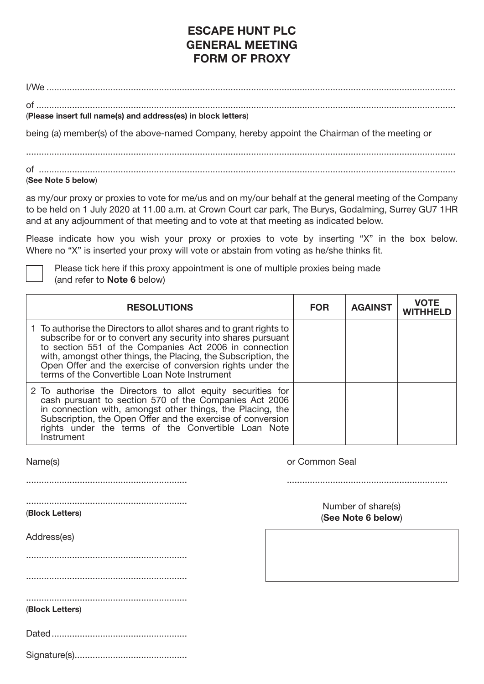## **ESCAPE HUNT PLC GENERAL MEETING FORM OF PROXY**

 $I/M<sub>e</sub>$ 

| (Please insert full name(s) and address(es) in block letters) |
|---------------------------------------------------------------|

being (a) member(s) of the above-named Company, hereby appoint the Chairman of the meeting or

........................................................................................................................................................................ of ................................................................................................................................................................... (**See Note 5 below**)

as my/our proxy or proxies to vote for me/us and on my/our behalf at the general meeting of the Company to be held on 1 July 2020 at 11.00 a.m. at Crown Court car park, The Burys, Godalming, Surrey GU7 1HR and at any adjournment of that meeting and to vote at that meeting as indicated below.

Please indicate how you wish your proxy or proxies to vote by inserting "X" in the box below. Where no "X" is inserted your proxy will vote or abstain from voting as he/she thinks fit.

 Please tick here if this proxy appointment is one of multiple proxies being made (and refer to **Note 6** below)

| <b>RESOLUTIONS</b>                                                                                                                                                                                                                                                                                                                                                              | <b>FOR</b> | <b>AGAINST</b> | <b>VOTE</b><br><b>WITHHELD</b> |
|---------------------------------------------------------------------------------------------------------------------------------------------------------------------------------------------------------------------------------------------------------------------------------------------------------------------------------------------------------------------------------|------------|----------------|--------------------------------|
| 1 To authorise the Directors to allot shares and to grant rights to<br>subscribe for or to convert any security into shares pursuant<br>to section 551 of the Companies Act 2006 in connection<br>with, amongst other things, the Placing, the Subscription, the<br>Open Offer and the exercise of conversion rights under the<br>terms of the Convertible Loan Note Instrument |            |                |                                |
| 2 To authorise the Directors to allot equity securities for<br>cash pursuant to section 570 of the Companies Act 2006<br>in connection with, amongst other things, the Placing, the<br>Subscription, the Open Offer and the exercise of conversion<br>rights under the terms of the Convertible Loan Note<br>Instrument                                                         |            |                |                                |

............................................................... ...............................................................

Name(s) or Common Seal

(**Block Letters**)

Address(es)

...............................................................

(**Block Letters**)

Dated.....................................................

Signature(s)............................................

Number of share(s) (**See Note 6 below**)